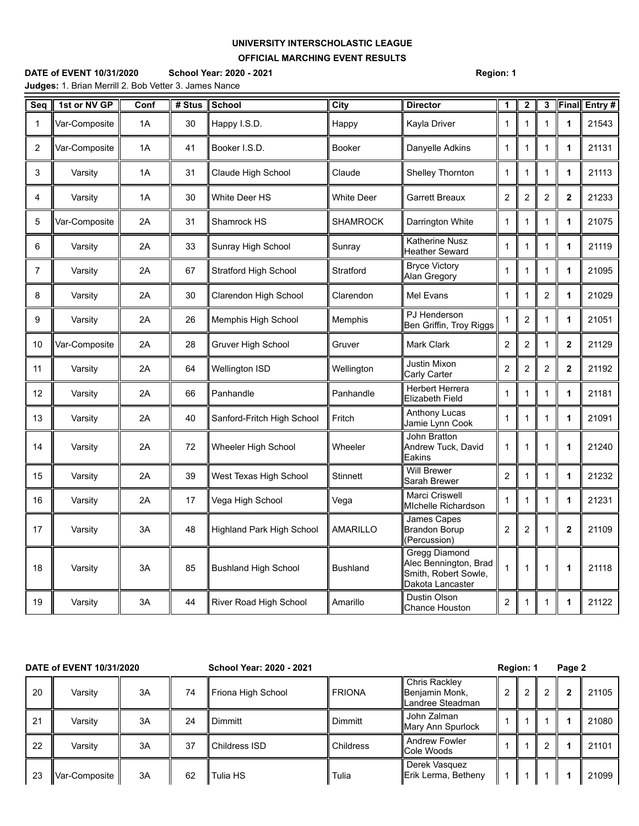## **UNIVERSITY INTERSCHOLASTIC LEAGUE OFFICIAL MARCHING EVENT RESULTS**

**DATE of EVENT 10/31/2020 School Year: 2020 - 2021 Region: 1 Judges:** 1. Brian Merrill 2. Bob Vetter 3. James Nance

| Seq          | 1st or NV GP  | Conf | # Stus | <b>School</b>                    | City              | <b>Director</b>                                                                    | 1                | $\mathbf 2$    | 3              |              | Final Entry# |
|--------------|---------------|------|--------|----------------------------------|-------------------|------------------------------------------------------------------------------------|------------------|----------------|----------------|--------------|--------------|
| $\mathbf{1}$ | Var-Composite | 1A   | 30     | Happy I.S.D.                     | Happy             | Kayla Driver                                                                       | $\mathbf{1}$     | $\mathbf{1}$   | 1              | $\mathbf{1}$ | 21543        |
| 2            | Var-Composite | 1A   | 41     | Booker I.S.D.                    | <b>Booker</b>     | Danyelle Adkins                                                                    | $\mathbf{1}$     | 1              | 1              | $\mathbf 1$  | 21131        |
| 3            | Varsity       | 1A   | 31     | Claude High School               | Claude            | Shelley Thornton                                                                   | $\mathbf{1}$     | $\mathbf{1}$   | 1              | $\mathbf 1$  | 21113        |
| 4            | Varsity       | 1A   | 30     | <b>White Deer HS</b>             | <b>White Deer</b> | <b>Garrett Breaux</b>                                                              | $\boldsymbol{2}$ | 2              | 2              | 2            | 21233        |
| 5            | Var-Composite | 2A   | 31     | Shamrock HS                      | <b>SHAMROCK</b>   | Darrington White                                                                   | $\mathbf{1}$     | 1              | 1              | $\mathbf 1$  | 21075        |
| 6            | Varsity       | 2A   | 33     | Sunray High School               | Sunray            | <b>Katherine Nusz</b><br>Heather Seward                                            | $\mathbf{1}$     | 1              | 1              | $\mathbf 1$  | 21119        |
| 7            | Varsity       | 2A   | 67     | Stratford High School            | Stratford         | <b>Bryce Victory</b><br>Alan Gregory                                               | 1                | $\mathbf{1}$   | 1              | $\mathbf 1$  | 21095        |
| 8            | Varsity       | 2A   | 30     | Clarendon High School            | Clarendon         | <b>Mel Evans</b>                                                                   | $\mathbf{1}$     | 1              | 2              | $\mathbf{1}$ | 21029        |
| 9            | Varsity       | 2A   | 26     | Memphis High School              | Memphis           | PJ Henderson<br>Ben Griffin, Troy Riggs                                            | $\mathbf{1}$     | 2              | 1              | $\mathbf{1}$ | 21051        |
| 10           | Var-Composite | 2A   | 28     | Gruver High School               | Gruver            | Mark Clark                                                                         | $\overline{c}$   | 2              | 1              | $\mathbf{2}$ | 21129        |
| 11           | Varsity       | 2A   | 64     | Wellington ISD                   | Wellington        | <b>Justin Mixon</b><br>Carly Carter                                                | $\overline{c}$   | $\overline{c}$ | $\overline{2}$ | $\mathbf{2}$ | 21192        |
| 12           | Varsity       | 2A   | 66     | Panhandle                        | Panhandle         | <b>Herbert Herrera</b><br>Elizabeth Field                                          | 1                | $\mathbf{1}$   | 1              | $\mathbf 1$  | 21181        |
| 13           | Varsity       | 2A   | 40     | Sanford-Fritch High School       | Fritch            | Anthony Lucas<br>Jamie Lynn Cook                                                   | 1                | 1              | 1              | 1            | 21091        |
| 14           | Varsity       | 2A   | 72     | Wheeler High School              | Wheeler           | John Bratton<br>Andrew Tuck, David<br>Eakins                                       | 1                | 1              | 1              | $\mathbf{1}$ | 21240        |
| 15           | Varsity       | 2A   | 39     | West Texas High School           | Stinnett          | <b>Will Brewer</b><br>Sarah Brewer                                                 | $\overline{c}$   | $\mathbf{1}$   | 1              | $\mathbf{1}$ | 21232        |
| 16           | Varsity       | 2A   | 17     | Vega High School                 | Vega              | Marci Criswell<br>Michelle Richardson                                              | 1                | 1              | 1              | 1            | 21231        |
| 17           | Varsity       | 3A   | 48     | <b>Highland Park High School</b> | <b>AMARILLO</b>   | James Capes<br><b>Brandon Borup</b><br>(Percussion)                                | $\overline{c}$   | 2              | 1              | $\mathbf 2$  | 21109        |
| 18           | Varsity       | 3A   | 85     | <b>Bushland High School</b>      | <b>Bushland</b>   | Gregg Diamond<br>Alec Bennington, Brad<br>Smith, Robert Sowle,<br>Dakota Lancaster | 1                | 1              | 1              | 1            | 21118        |
| 19           | Varsity       | 3A   | 44     | River Road High School           | Amarillo          | Dustin Olson<br><b>Chance Houston</b>                                              | $\overline{c}$   | 1              | 1              | $\mathbf{1}$ | 21122        |

| DATE of EVENT 10/31/2020 |               |    |    | School Year: 2020 - 2021 |               |                                                            | <b>Region: 1</b> |  |  | Page 2 |       |  |
|--------------------------|---------------|----|----|--------------------------|---------------|------------------------------------------------------------|------------------|--|--|--------|-------|--|
| 20                       | Varsity       | 3A | 74 | Friona High School       | <b>FRIONA</b> | <b>Chris Rackley</b><br>Benjamin Monk,<br>Landree Steadman |                  |  |  | 2      | 21105 |  |
| 21                       | Varsity       | 3A | 24 | <b>Dimmitt</b>           | Dimmitt       | John Zalman<br>Mary Ann Spurlock                           |                  |  |  |        | 21080 |  |
| 22                       | Varsity       | 3A | 37 | Childress ISD            | Childress     | <b>Andrew Fowler</b><br><b>I</b> Cole Woods                |                  |  |  |        | 21101 |  |
| 23                       | Var-Composite | 3A | 62 | Tulia HS                 | Tulia         | Derek Vasquez<br>Erik Lerma, Betheny                       |                  |  |  |        | 21099 |  |